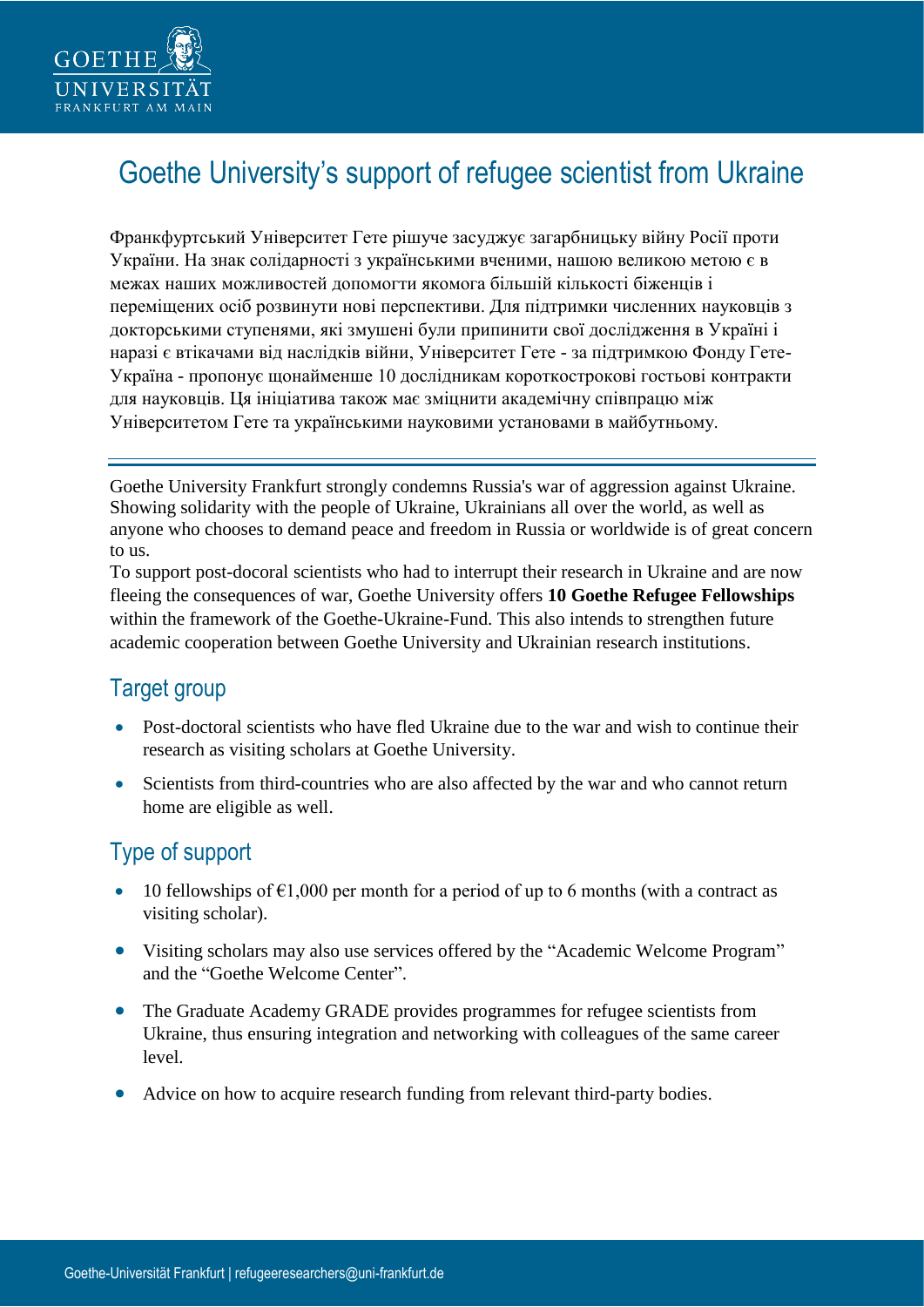

# Goethe University's support of refugee scientist from Ukraine

Франкфуртський Університет Гете рішуче засуджує загарбницьку війну Росії проти України. На знак солідарності з українськими вченими, нашою великою метою є в межах наших можливостей допомогти якомога більшій кількості біженців і переміщених осіб розвинути нові перспективи. Для підтримки численних науковців з докторськими ступенями, які змушені були припинити свої дослідження в Україні і наразі є втікачами від наслідків війни, Університет Гете - за підтримкою Фонду Гете-Україна - пропонує щонайменше 10 дослідникам короткострокові гостьові контракти для науковців. Ця ініціатива також має зміцнити академічну співпрацю між Університетом Гете та українськими науковими установами в майбутньому.

Goethe University Frankfurt strongly condemns Russia's war of aggression against Ukraine. Showing solidarity with the people of Ukraine, Ukrainians all over the world, as well as anyone who chooses to demand peace and freedom in Russia or worldwide is of great concern to us.

To support post-docoral scientists who had to interrupt their research in Ukraine and are now fleeing the consequences of war, Goethe University offers **10 Goethe Refugee Fellowships** within the framework of the Goethe-Ukraine-Fund. This also intends to strengthen future academic cooperation between Goethe University and Ukrainian research institutions.

### Target group

- Post-doctoral scientists who have fled Ukraine due to the war and wish to continue their research as visiting scholars at Goethe University.
- Scientists from third-countries who are also affected by the war and who cannot return home are eligible as well.

## Type of support

- 10 fellowships of  $\epsilon$ 1,000 per month for a period of up to 6 months (with a contract as visiting scholar).
- Visiting scholars may also use services offered by the "Academic Welcome Program" and the "Goethe Welcome Center".
- The Graduate Academy GRADE provides programmes for refugee scientists from Ukraine, thus ensuring integration and networking with colleagues of the same career level.
- Advice on how to acquire research funding from relevant third-party bodies.

۰